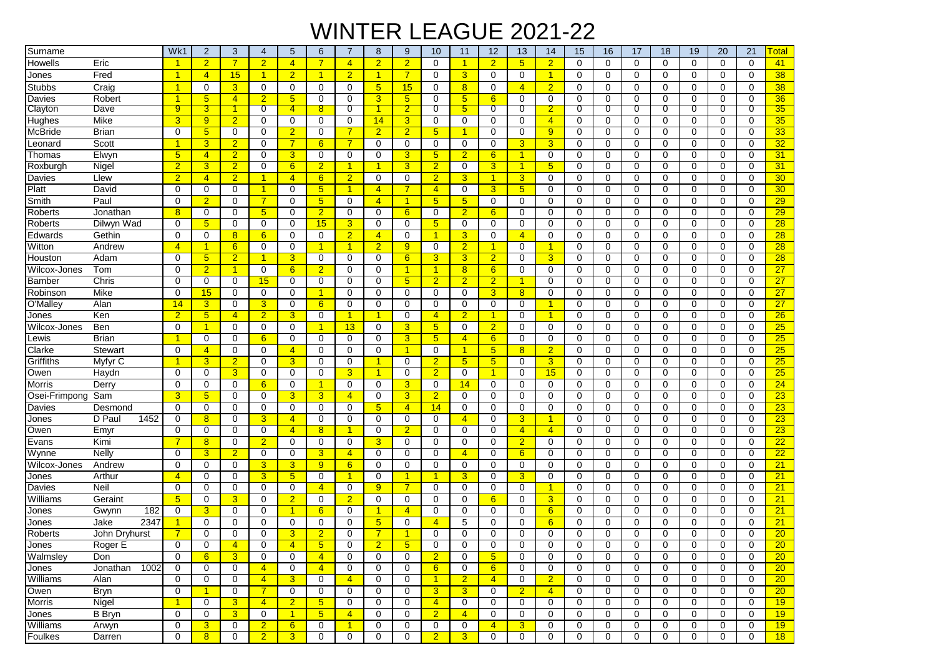## WINTER LEAGUE 2021-22

| Surname       |                  | Wk1                  | 2              | 3                    | 4              | 5               | 6                    | 7              | 8                    | 9               | 10                   | 11              | 12              | 13              | 14                   | 15          | 16          | 17            | 18          | 19       | 20          | 21             | <u> Fotal</u>   |
|---------------|------------------|----------------------|----------------|----------------------|----------------|-----------------|----------------------|----------------|----------------------|-----------------|----------------------|-----------------|-----------------|-----------------|----------------------|-------------|-------------|---------------|-------------|----------|-------------|----------------|-----------------|
| Howells       | Eric             |                      | $\overline{2}$ | $\overline{7}$       | $\overline{2}$ | $\overline{4}$  | $\overline{7}$       | $\overline{4}$ | $\overline{2}$       | $\overline{2}$  | 0                    | $\mathbf{1}$    | $\overline{2}$  | $5\overline{)}$ | $\overline{2}$       | $\mathbf 0$ | $\mathbf 0$ | 0             | $\mathbf 0$ | $\Omega$ | $\mathbf 0$ | $\mathbf 0$    | 41              |
| Jones         | Fred             | $\overline{1}$       | $\overline{4}$ | 15                   | $\mathbf{1}$   | $\overline{2}$  | $\blacktriangleleft$ | $\overline{2}$ | $\overline{1}$       | $\overline{7}$  | 0                    | 3               | 0               | 0               | $\mathbf{1}$         | 0           | 0           | 0             | 0           | 0        | $\Omega$    | $\mathbf 0$    | 38              |
| <b>Stubbs</b> | Craig            | $\overline{1}$       | $\mathbf 0$    | 3                    | $\mathbf 0$    | 0               | $\mathbf 0$          | $\mathbf 0$    | 5 <sub>5</sub>       | 15              | 0                    | 8               | 0               | $\overline{4}$  | $\overline{2}$       | 0           | $\mathbf 0$ | 0             | $\mathbf 0$ | 0        | 0           | $\mathbf 0$    | 38              |
| Davies        | Robert           | $\overline{1}$       | $5\phantom{1}$ | $\overline{4}$       | $\overline{2}$ | $5\overline{)}$ | 0                    | $\mathbf 0$    | 3                    | $5\overline{)}$ | 0                    | $5\overline{)}$ | 6               | $\mathbf 0$     | $\mathbf 0$          | 0           | $\mathbf 0$ | $\Omega$      | $\mathbf 0$ | $\Omega$ | $\Omega$    | $\mathbf 0$    | 36              |
| Clayton       | Dave             | 9                    | 3              | 1                    | 0              | $\overline{4}$  | 8                    | 0              | $\mathbf 1$          | $\overline{2}$  | 0                    | 5               | 0               | 0               | $\overline{2}$       | 0           | 0           | 0             | 0           | 0        | 0           | $\overline{0}$ | 35              |
| Hughes        | Mike             | $\overline{3}$       | 9              | $\overline{2}$       | 0              | $\mathbf 0$     | 0                    | 0              | 14                   | 3               | 0                    | 0               | 0               | $\mathbf 0$     | $\overline{4}$       | 0           | 0           | 0             | 0           | 0        | 0           | $\mathbf 0$    | 35              |
| McBride       | Brian            | $\mathbf 0$          | 5              | $\mathbf 0$          | $\Omega$       | $\overline{2}$  | $\Omega$             | 7              | $\overline{2}$       | $\overline{2}$  | $5\phantom{.0}$      | $\mathbf{1}$    | $\Omega$        | 0               | 9                    | 0           | 0           | $\Omega$      | 0           | 0        | $\Omega$    | 0              | 33 <sub>o</sub> |
| Leonard       | Scott            | -1                   | 3              | $\overline{2}$       | $\Omega$       | $\overline{7}$  | 6                    | $\overline{7}$ | $\mathbf 0$          | $\mathbf 0$     | 0                    | 0               | 0               | 3               | 3                    | 0           | 0           | 0             | 0           | 0        | 0           | 0              | 32              |
| Thomas        | Elwyn            | 5 <sub>5</sub>       | $\overline{4}$ | $\overline{2}$       | 0              | 3               | 0                    | 0              | 0                    | 3               | $5\phantom{.0}$      | $\overline{2}$  | 6               | $\mathbf{1}$    | 0                    | 0           | $\mathbf 0$ | 0             | 0           | 0        | 0           | 0              | 31              |
| Roxburah      | Nigel            | $\overline{2}$       | $\overline{3}$ | $\overline{2}$       | 0              | 6               | $\overline{2}$       | -1             | $\blacktriangleleft$ | $\overline{3}$  | $\overline{2}$       | 0               | 3               | $\mathbf{1}$    | 5 <sup>5</sup>       | 0           | 0           | 0             | 0           | 0        | 0           | $\mathbf 0$    | 31              |
| Davies        | Llew             | $\overline{2}$       | $\overline{4}$ | $\overline{2}$       | $\overline{1}$ | $\overline{4}$  | 6                    | $\overline{2}$ | $\Omega$             | $\mathbf 0$     | $\overline{2}$       | 3               | 1               | 3               | $\Omega$             | $\Omega$    | $\Omega$    | $\Omega$      | $\Omega$    | $\Omega$ | $\Omega$    | $\Omega$       | 30 <sup>°</sup> |
| Platt         | David            | $\mathbf 0$          | 0              | $\mathbf 0$          | $\mathbf{1}$   | $\mathbf 0$     | 5 <sup>5</sup>       | $\overline{1}$ | $\overline{4}$       | $\overline{7}$  | $\overline{4}$       | 0               | 3               | 5               | $\mathbf 0$          | 0           | $\mathbf 0$ | 0             | $\mathbf 0$ | 0        | 0           | $\mathbf 0$    | 30              |
| Smith         | Paul             | $\Omega$             | $\overline{2}$ | 0                    | $\overline{7}$ | 0               | 5 <sup>5</sup>       | 0              | $\overline{4}$       | $\mathbf{1}$    | 5 <sup>5</sup>       | $5\overline{)}$ | 0               | 0               | 0                    | 0           | 0           | $\Omega$      | 0           | 0        | $\Omega$    | $\Omega$       | 29              |
| Roberts       | Jonathan         | 8                    | $\mathbf 0$    | $\mathbf 0$          | 5              | $\mathbf 0$     | $\overline{2}$       | 0              | $\mathbf 0$          | 6               | 0                    | $\overline{2}$  | 6               | $\mathbf 0$     | $\mathbf 0$          | 0           | $\mathbf 0$ | $\mathbf 0$   | $\mathbf 0$ | 0        | $\mathbf 0$ | $\mathbf 0$    | 29              |
| Roberts       | Dilwyn Wad       | $\mathbf 0$          | $5\phantom{1}$ | 0                    | $\mathbf 0$    | $\mathbf 0$     | 15                   | 3              | 0                    | $\mathbf 0$     | 5 <sub>5</sub>       | 0               | 0               | $\mathbf 0$     | $\mathbf 0$          | 0           | $\mathbf 0$ | $\mathbf 0$   | $\mathbf 0$ | 0        | 0           | $\mathbf 0$    | 28              |
| Edwards       | Gethin           | 0                    | 0              | 8                    | 6              | 0               | $\mathbf 0$          | $\overline{2}$ | $\overline{4}$       | $\mathbf 0$     | $\mathbf{1}$         | 3               | 0               | $\overline{4}$  | 0                    | 0           | 0           | 0             | 0           | 0        | $\Omega$    | 0              | 28              |
| Witton        | Andrew           | $\overline{4}$       | 1              | 6                    | 0              | 0               | -1                   | -1             | $\overline{2}$       | 9               | 0                    | $\overline{2}$  | 1               | 0               | $\blacktriangleleft$ | $\Omega$    | 0           | $\Omega$      | 0           | 0        | $\Omega$    | 0              | 28              |
| Houston       | Adam             | 0                    | 5              | $\overline{2}$       | $\mathbf{1}$   | 3               | $\mathbf 0$          | 0              | 0                    | 6               | 3                    | 3               | $\overline{2}$  | 0               | 3                    | 0           | 0           | 0             | 0           | 0        | 0           | 0              | 28              |
| Wilcox-Jones  | Tom              | 0                    | $\overline{2}$ | $\blacktriangleleft$ | 0              | 6               | $\overline{2}$       | 0              | 0                    | $\mathbf{1}$    | $\blacktriangleleft$ | 8               | 6               | 0               | 0                    | 0           | 0           | $\Omega$      | 0           | 0        | 0           | 0              | 27              |
| <b>Bamber</b> | Chris            | $\mathbf 0$          | $\mathbf 0$    | 0                    | 15             | $\mathbf 0$     | 0                    | $\mathbf 0$    | 0                    | $5\overline{)}$ | $\overline{2}$       | $\overline{2}$  | $\overline{2}$  | $\mathbf{1}$    | $\mathbf 0$          | 0           | 0           | 0             | 0           | 0        | 0           | $\mathbf 0$    | 27              |
| Robinson      | Mike             | $\mathbf 0$          | 15             | $\mathbf 0$          | 0              | $\mathbf 0$     | $\mathbf{1}$         | $\mathbf 0$    | $\mathbf 0$          | $\mathbf 0$     | 0                    | 0               | 3               | 8               | $\mathbf 0$          | 0           | $\mathbf 0$ | 0             | $\mathbf 0$ | 0        | 0           | $\mathbf 0$    | $\overline{27}$ |
| O'Malley      | Alan             | 14                   | 3              | 0                    | 3              | $\mathbf 0$     | 6                    | $\mathbf 0$    | 0                    | $\mathbf 0$     | $\mathbf 0$          | 0               | 0               | $\mathbf 0$     | -1                   | 0           | $\mathbf 0$ | $\mathbf 0$   | $\mathbf 0$ | 0        | $\mathbf 0$ | $\mathbf 0$    | 27              |
| Jones         | Ken              | $\overline{2}$       | $5\phantom{1}$ | $\overline{4}$       | $\overline{2}$ | 3               | 0                    | 1              | $\overline{1}$       | $\mathbf 0$     | $\overline{4}$       | $\overline{2}$  | 1               | $\mathbf 0$     | $\overline{1}$       | 0           | $\mathbf 0$ | $\mathbf 0$   | 0           | 0        | 0           | $\mathbf 0$    | 26              |
|               |                  |                      | $\overline{1}$ | 0                    | $\mathbf 0$    | $\mathbf 0$     | -1                   | 13             |                      |                 |                      | 0               |                 |                 | $\mathbf 0$          |             | $\mathbf 0$ |               |             |          | $\mathbf 0$ | $\mathbf 0$    | 25              |
| Wilcox-Jones  | Ben              | 0<br>1               |                |                      |                | $\mathbf 0$     |                      |                | 0                    | 3               | 5 <sup>5</sup>       |                 | $\overline{2}$  | 0               | $\mathbf 0$          | 0           |             | 0<br>$\Omega$ | 0           | 0<br>0   | $\Omega$    |                |                 |
| Lewis         | Brian            |                      | 0              | 0                    | 6              |                 | $\mathbf 0$          | 0              | 0                    | $\overline{3}$  | $5\phantom{.0}$      | 4               | 6               | 0               |                      | 0           | 0           |               | 0           |          |             | 0              | 25              |
| Clarke        | Stewart          | 0                    | $\overline{4}$ | 0                    | 0              | $\overline{4}$  | 0                    | 0              | $\mathbf 0$          | $\overline{1}$  | 0                    | $\mathbf{1}$    | $5\phantom{1}$  | 8               | $\overline{2}$       | 0           | $\mathbf 0$ | 0             | $\mathbf 0$ | 0        | $\Omega$    | $\mathbf 0$    | 25              |
| Griffiths     | Myfyr C          |                      | 3              | $\overline{2}$       | 0              | 3               | 0                    | $\mathbf 0$    | -1                   | $\mathbf 0$     | $\overline{2}$       | 5               | 5               | 0               | 3                    | 0           | $\mathbf 0$ | 0             | 0           | 0        | 0           | 0              | 25              |
| Owen          | Haydn            | 0                    | 0              | 3                    | 0              | $\mathbf 0$     | $\Omega$             | 3              | $\blacktriangleleft$ | $\mathbf 0$     | $\overline{2}$       | 0               | 1               | 0               | 15                   | 0           | 0           | $\Omega$      | 0           | 0        | $\Omega$    | $\mathbf 0$    | 25              |
| <b>Morris</b> | Derry            | $\mathbf 0$          | $\mathbf 0$    | $\mathbf 0$          | 6              | $\mathbf 0$     | $\blacktriangleleft$ | $\mathbf 0$    | 0                    | 3               | 0                    | 14              | 0               | $\mathbf 0$     | $\mathbf 0$          | $\mathbf 0$ | $\mathbf 0$ | 0             | 0           | 0        | $\mathbf 0$ | $\mathbf 0$    | 24              |
| Osei-Frimpong | Sam              | 3                    | 5              | 0                    | 0              | 3               | 3                    | $\overline{4}$ | $\mathbf 0$          | $\overline{3}$  | $\overline{2}$       | 0               | 0               | 0               | $\mathbf 0$          | 0           | 0           | 0             | $\mathbf 0$ | 0        | 0           | $\mathbf 0$    | 23              |
| Davies        | Desmond          | $\mathbf 0$          | 0              | 0                    | 0              | $\mathbf 0$     | 0                    | $\mathbf 0$    | 5 <sub>5</sub>       | $\overline{4}$  | 14                   | 0               | 0               | $\mathbf 0$     | $\mathbf 0$          | 0           | 0           | 0             | 0           | 0        | $\mathbf 0$ | $\mathbf 0$    | 23              |
| Jones         | D Pau<br>1452    | 0                    | 8              | 0                    | 3              | $\overline{4}$  | $\mathbf 0$          | $\mathbf 0$    | 0                    | $\mathbf 0$     | 0                    | 4               | 0               | 3               | $\overline{1}$       | 0           | $\mathbf 0$ | $\mathbf 0$   | 0           | $\Omega$ | $\Omega$    | $\mathbf 0$    | 23              |
| Owen          | Emyr             | $\mathbf 0$          | $\mathbf 0$    | $\Omega$             | $\Omega$       | $\overline{4}$  | 8                    | -1             | 0                    | $\overline{2}$  | 0                    | 0               | $\Omega$        | $\overline{4}$  | $\overline{4}$       | 0           | 0           | $\Omega$      | 0           | 0        | $\Omega$    | 0              | 23              |
| Evans         | Kimi             | $\overline{7}$       | 8              | 0                    | $\overline{2}$ | 0               | $\Omega$             | $\mathbf 0$    | 3                    | 0               | 0                    | 0               | 0               | $\overline{2}$  | 0                    | 0           | 0           | 0             | 0           | 0        | $\Omega$    | 0              | 22              |
| Wynne         | Nelly            | $\mathbf 0$          | 3              | $\overline{2}$       | 0              | 0               | 3                    | $\overline{4}$ | $\mathbf 0$          | $\mathbf 0$     | 0                    | $\overline{4}$  | 0               | 6               | $\mathbf 0$          | 0           | $\mathbf 0$ | 0             | 0           | 0        | 0           | $\mathbf 0$    | 22              |
| Wilcox-Jones  | Andrew           | $\mathbf 0$          | $\Omega$       | 0                    | 3              | 3               | 9 <sup>°</sup>       | 6              | 0                    | 0               | 0                    | 0               | 0               | 0               | $\Omega$             | 0           | 0           | $\Omega$      | 0           | 0        | $\Omega$    | $\Omega$       | 21              |
| Jones         | Arthur           | $\overline{4}$       | $\mathbf 0$    | $\mathbf 0$          | 3              | 5 <sub>5</sub>  | 0                    | -1             | $\mathbf 0$          | $\mathbf{1}$    | $\mathbf{1}$         | 3               | $\Omega$        | 3               | $\mathbf 0$          | 0           | $\mathbf 0$ | $\Omega$      | $\mathbf 0$ | 0        | 0           | $\mathbf 0$    | 21              |
| Davies        | Neil             | 0                    | $\mathbf 0$    | 0                    | 0              | $\mathbf 0$     | $\overline{4}$       | 0              | 9                    | 7               | 0                    | 0               | 0               | 0               | $\mathbf{1}$         | 0           | 0           | 0             | 0           | 0        | 0           | $\mathbf 0$    | 21              |
| Williams      | Geraint          | 5                    | $\mathbf 0$    | 3                    | 0              | $\overline{2}$  | 0                    | $\overline{2}$ | $\mathbf 0$          | $\mathbf 0$     | 0                    | 0               | 6               | 0               | 3                    | $\mathbf 0$ | $\mathbf 0$ | 0             | 0           | 0        | 0           | $\mathbf 0$    | 21              |
| Jones         | 182<br>Gwynn     | $\mathbf 0$          | 3              | 0                    | $\mathbf 0$    | 1               | 6                    | $\mathbf 0$    | -1                   | $\overline{4}$  | 0                    | 0               | 0               | $\mathbf 0$     | 6                    | 0           | $\mathbf 0$ | 0             | $\mathbf 0$ | 0        | 0           | $\mathbf 0$    | 21              |
| Jones         | 2347<br>Jake     |                      | 0              | 0                    | $\mathbf 0$    | $\mathbf 0$     | $\Omega$             | $\mathbf 0$    | $5\phantom{1}$       | $\mathbf 0$     | $\overline{4}$       | 5               | 0               | 0               | 6                    | 0           | $\mathbf 0$ | 0             | 0           | 0        | 0           | $\Omega$       | 21              |
| Roberts       | John Dryhurst    | $\overline{7}$       | 0              | 0                    | $\Omega$       | 3               | $\overline{2}$       | 0              | $\overline{7}$       | 1               | 0                    | 0               | $\Omega$        | 0               | $\mathbf 0$          | 0           | 0           | 0             | 0           | 0        | 0           | $\mathbf 0$    | 20              |
| Jones         | Roger E          | 0                    | 0              | $\overline{4}$       | 0              | $\overline{4}$  | $5\phantom{.0}$      | 0              | $\overline{2}$       | $5\phantom{.0}$ | 0                    | 0               | 0               | 0               | 0                    | 0           | 0           | 0             | 0           | 0        | 0           | 0              | 20 <sub>2</sub> |
| Walmsley      | Don              | $\mathbf 0$          | 6              | 3                    | 0              | 0               | $\overline{4}$       | 0              | 0                    | 0               | $\overline{2}$       | 0               | 5               | 0               | 0                    | 0           | 0           | 0             | 0           | 0        | 0           | 0              | 20              |
| Jones         | Jonathan<br>1002 | 0                    | 0              | 0                    | $\overline{4}$ | 0               | $\overline{4}$       | 0              | 0                    | 0               | $6 \overline{6}$     | 0               | $6\phantom{1}6$ | 0               | 0                    | 0           | 0           | 0             | 0           | 0        | 0           | 0              | 20              |
| Williams      | Alan             | $\mathbf 0$          | 0              | $\mathbf 0$          | $\overline{4}$ | 3 <sup>5</sup>  | 0                    | $\overline{4}$ | 0                    | $\mathbf 0$     | $\mathbf{1}$         | 2 <sup>2</sup>  | $\overline{4}$  | 0               | $\overline{2}$       | 0           | 0           | 0             | 0           | 0        | 0           | 0              | 20              |
| Owen          | <b>Bryn</b>      | 0                    | $\overline{1}$ | 0                    | $\overline{7}$ | $\mathbf 0$     | 0                    | 0              | 0                    | $\mathbf 0$     | 3 <sup>5</sup>       | 3 <sup>1</sup>  | 0               | 2 <sup>1</sup>  | $\overline{4}$       | 0           | 0           | 0             | 0           | 0        | 0           | $\mathbf 0$    | 20 <sub>2</sub> |
| <b>Morris</b> | Nigel            | $\blacktriangleleft$ | 0              | 3                    | $\overline{4}$ | 2 <sup>1</sup>  | 5 <sub>5</sub>       | 0              | 0                    | $\mathbf 0$     | $\overline{4}$       | 0               | 0               | 0               | 0                    | 0           | 0           | $\mathbf 0$   | 0           | 0        | 0           | 0              | 19              |
| Jones         | <b>B</b> Bryn    | 0                    | 0              | $\overline{3}$       | 0              | $\mathbf{1}$    | 5 <sup>5</sup>       | $\overline{4}$ | 0                    | 0               | $\overline{2}$       | $\overline{4}$  | 0               | 0               | 0                    | 0           | 0           | 0             | 0           | 0        | 0           | 0              | 19              |
| Williams      | Arwyn            | 0                    | $\mathbf{3}$   | 0                    | $\overline{2}$ | $6^{\circ}$     | 0                    | $\mathbf{1}$   | 0                    | $\mathbf 0$     | 0                    | 0               | $\overline{4}$  | 3               | 0                    | 0           | 0           | 0             | 0           | 0        | 0           | 0              | 19              |
| Foulkes       | Darren           | 0                    | 8              | $\mathbf 0$          | 2 <sup>1</sup> | 3 <sup>5</sup>  | 0                    | 0              | 0                    | $\mathbf 0$     | $\overline{2}$       | 3 <sup>1</sup>  | 0               | 0               | 0                    | 0           | 0           | $\mathbf 0$   | 0           | 0        | 0           | 0              | 18              |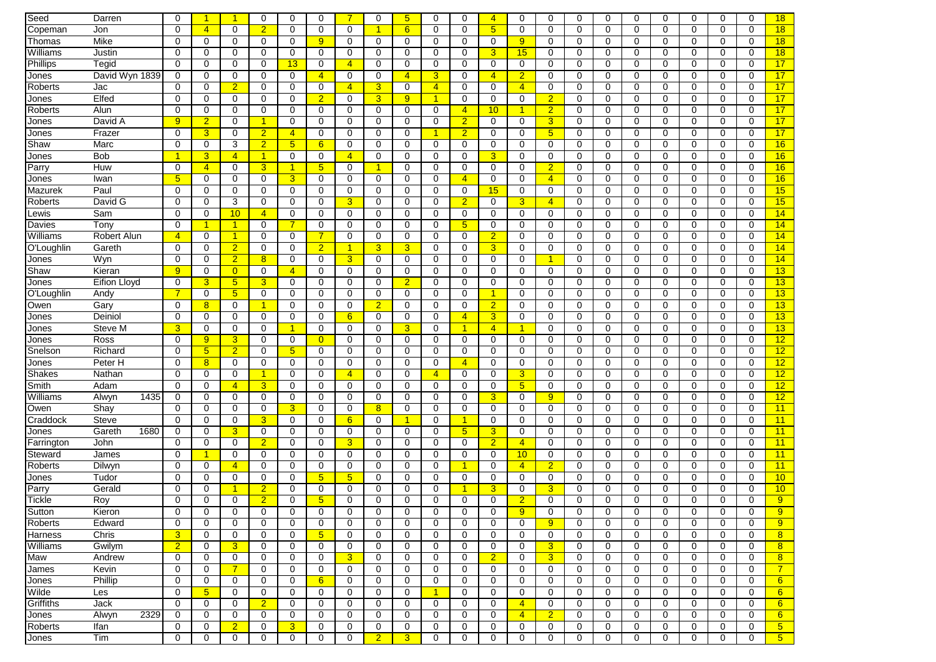| Seed             | Darren                      | $\Omega$       |                 | -1             | 0              | 0                   | $\Omega$       | 7              | $\mathbf 0$    | 5 <sup>5</sup> | 0              | 0              | $\overline{4}$ | 0              | 0              | 0           | $\mathbf 0$ | 0           | 0           | 0           | $\Omega$    | $\mathbf 0$ | 18             |
|------------------|-----------------------------|----------------|-----------------|----------------|----------------|---------------------|----------------|----------------|----------------|----------------|----------------|----------------|----------------|----------------|----------------|-------------|-------------|-------------|-------------|-------------|-------------|-------------|----------------|
| Copeman          | Jon                         | $\Omega$       | $\overline{4}$  | $\mathbf 0$    | $\overline{2}$ | $\mathbf 0$         | $\mathbf 0$    | $\mathbf 0$    | $\overline{1}$ | 6              | 0              | $\mathbf 0$    | 5              | $\mathbf 0$    | $\mathbf 0$    | $\mathbf 0$ | $\mathbf 0$ | $\mathbf 0$ | 0           | $\mathbf 0$ | $\mathbf 0$ | $\mathbf 0$ | 18             |
| Thomas           | Mike                        | $\mathbf 0$    | $\mathbf 0$     | $\mathbf 0$    | 0              | $\mathbf 0$         | 9 <sup>°</sup> | $\mathbf 0$    | $\mathbf 0$    | $\mathbf 0$    | 0              | 0              | $\mathbf 0$    | 9              | $\mathbf 0$    | 0           | 0           | 0           | 0           | $\mathbf 0$ | $\mathbf 0$ | $\mathbf 0$ | 18             |
| Williams         | Justin                      | 0              | 0               | 0              | 0              | $\mathbf 0$         | 0              | 0              | 0              | $\mathbf 0$    | 0              | 0              | 3              | 15             | 0              | 0           | 0           | $\mathbf 0$ | 0           | $\mathbf 0$ | 0           | $\mathbf 0$ | 18             |
| Phillips         | $\overline{\mathsf{Tegid}}$ | $\mathbf 0$    | $\mathbf 0$     | $\mathbf 0$    | $\Omega$       | 13                  | 0              | $\overline{4}$ | $\mathbf 0$    | $\mathbf 0$    | 0              | $\mathbf 0$    | $\mathbf 0$    | $\mathbf 0$    | $\mathbf 0$    | $\mathbf 0$ | $\mathbf 0$ | $\mathbf 0$ | 0           | $\mathbf 0$ | $\mathbf 0$ | $\mathbf 0$ | 17             |
| Jones            | David Wyn 1839              | $\mathbf 0$    | $\mathbf 0$     | 0              | $\Omega$       | $\mathbf 0$         | $\overline{4}$ | 0              | 0              | $\overline{4}$ | 3              | 0              | $\overline{4}$ | $\overline{2}$ | 0              | 0           | 0           | 0           | 0           | $\mathbf 0$ | 0           | $\mathbf 0$ | 17             |
| Roberts          | Jac                         | 0              | 0               | $\overline{2}$ | 0              | 0                   | 0              | $\overline{4}$ | 3              | 0              | $\overline{4}$ | 0              | 0              | $\overline{4}$ | 0              | 0           | 0           | 0           | 0           | 0           | 0           | 0           | 17             |
| Jones            | Elfed                       | $\mathbf 0$    | $\mathbf 0$     | $\mathbf 0$    | 0              | $\mathbf 0$         | $\overline{2}$ | 0              | $\overline{3}$ | 9              | $\mathbf{1}$   | 0              | 0              | $\mathbf 0$    | $\overline{2}$ | 0           | 0           | 0           | 0           | $\mathbf 0$ | 0           | $\mathbf 0$ | 17             |
| Roberts          | Alun                        | 0              | 0               | $\mathbf 0$    | 0              | $\Omega$            | $\Omega$       | $\Omega$       | $\Omega$       | $\mathbf 0$    | 0              | $\overline{4}$ | 10             | 1              | $\overline{2}$ | $\mathbf 0$ | 0           | $\Omega$    | $\Omega$    | $\Omega$    | $\Omega$    | $\Omega$    | 17             |
| Jones            | David A                     | 9              | $\overline{2}$  | $\mathbf 0$    | $\mathbf{1}$   | $\mathbf 0$         | 0              | 0              | $\mathbf 0$    | $\mathbf 0$    | 0              | $\overline{2}$ | $\mathbf 0$    | 0              | 3              | 0           | 0           | $\mathbf 0$ | 0           | $\mathbf 0$ | 0           | 0           | 17             |
| Jones            | Frazer                      | 0              | 3               | $\mathbf 0$    | $\overline{2}$ | $\overline{4}$      | 0              | 0              | 0              | $\mathbf 0$    | 1              | $\overline{2}$ | $\mathbf 0$    | 0              | 5 <sup>5</sup> | 0           | 0           | 0           | 0           | $\mathbf 0$ | 0           | $\mathbf 0$ | 17             |
| Shaw             | Marc                        | $\mathbf 0$    | $\mathbf 0$     | 3              | $\overline{2}$ | 5 <sub>5</sub>      | 6              | $\mathbf 0$    | 0              | $\mathbf 0$    | 0              | $\mathbf 0$    | $\mathbf 0$    | $\mathbf 0$    | $\mathbf 0$    | $\mathbf 0$ | 0           | $\mathbf 0$ | 0           | 0           | $\mathbf 0$ | $\mathbf 0$ | 16             |
| Jones            | Bob                         |                | 3               | $\overline{4}$ | $\mathbf{1}$   | $\mathbf 0$         | $\mathbf 0$    | $\overline{4}$ | 0              | $\mathbf 0$    | 0              | $\mathbf 0$    | 3              | $\mathbf 0$    | 0              | 0           | $\mathbf 0$ | $\mathbf 0$ | 0           | $\mathbf 0$ | $\mathbf 0$ | $\mathbf 0$ | 16             |
| Parry            | Huw                         | $\mathbf 0$    | $\overline{4}$  | $\mathbf 0$    | 3              | $\mathbf{1}$        | 5              | $\mathbf 0$    | $\overline{1}$ | $\mathbf 0$    | 0              | 0              | $\mathbf 0$    | $\mathbf 0$    | $\overline{2}$ | 0           | 0           | $\mathbf 0$ | 0           | $\mathbf 0$ | $\mathbf 0$ | $\mathbf 0$ | 16             |
| Jones            | Iwan                        | 5 <sup>5</sup> | $\mathbf 0$     | $\mathbf 0$    | $\Omega$       | 3                   | $\mathbf 0$    | 0              | 0              | $\mathbf 0$    | 0              | $\overline{4}$ | $\mathbf 0$    | 0              | $\overline{4}$ | 0           | 0           | 0           | 0           | 0           | 0           | $\mathbf 0$ | 16             |
| Mazurek          | Paul                        | $\Omega$       | $\mathbf 0$     | 0              | $\Omega$       | $\mathbf 0$         | 0              | 0              | 0              | $\mathbf 0$    | 0              | 0              | 15             | 0              | 0              | $\mathbf 0$ | 0           | 0           | $\Omega$    | $\mathbf 0$ | $\mathbf 0$ | $\mathbf 0$ | 15             |
| Roberts          | David G                     | 0              | $\mathbf 0$     | 3              | 0              | 0                   | 0              | 3              | 0              | 0              | 0              |                | 0              | 3              | $\overline{4}$ | 0           | 0           | 0           | 0           | 0           | 0           | 0           | 15             |
|                  | Sam                         | 0              |                 |                |                |                     |                |                |                |                |                | $\overline{2}$ |                |                |                |             |             |             |             |             | $\Omega$    | $\Omega$    |                |
| Lewis            |                             |                | 0<br>-1         | 10             | $\overline{4}$ | 0<br>$\overline{7}$ | 0              | 0              | 0              | 0              | 0              | 0              | 0              | 0              | 0              | 0           | 0           | 0           | 0           | 0           |             |             | 14             |
| Davies           | Tony                        | $\mathbf 0$    |                 | $\overline{1}$ | 0              |                     | 0              | 0              | $\mathbf 0$    | $\mathbf 0$    | 0              | 5              | $\mathbf 0$    | 0              | 0              | 0           | $\mathbf 0$ | $\mathbf 0$ | 0           | $\mathbf 0$ | 0           | $\mathbf 0$ | 14             |
| Williams         | Robert Alun                 | $\overline{4}$ | 0               | $\overline{1}$ | 0              | $\mathbf 0$         | $\overline{7}$ | $\mathbf 0$    | $\mathbf 0$    | $\mathbf 0$    | 0              | $\mathbf 0$    | $\overline{2}$ | $\mathbf 0$    | $\mathbf 0$    | $\mathbf 0$ | $\mathbf 0$ | 0           | $\mathbf 0$ | $\mathbf 0$ | $\mathbf 0$ | $\mathbf 0$ | 14             |
| O'Loughlin       | Gareth                      | $\mathbf 0$    | $\mathbf 0$     | $\overline{2}$ | 0              | $\mathbf 0$         | $\overline{2}$ | 1              | 3              | 3              | 0              | 0              | 3              | 0              | $\mathbf 0$    | 0           | 0           | 0           | 0           | 0           | 0           | $\mathbf 0$ | 14             |
| Jones            | Wyn                         | $\mathbf 0$    | $\mathbf 0$     | $\overline{2}$ | 8              | $\mathbf 0$         | $\mathbf 0$    | 3              | 0              | $\mathbf 0$    | 0              | 0              | $\mathbf 0$    | 0              | 1              | 0           | 0           | 0           | 0           | $\mathbf 0$ | 0           | $\mathbf 0$ | 14             |
| Shaw             | Kieran                      | 9              | $\mathbf 0$     | $\overline{0}$ | 0              | $\overline{4}$      | 0              | 0              | 0              | $\mathbf 0$    | 0              | 0              | 0              | 0              | 0              | 0           | 0           | 0           | $\Omega$    | $\mathbf 0$ | 0           | 0           | 13             |
| Jones            | Eifion Lloyd                | $\mathbf 0$    | 3               | 5 <sub>5</sub> | 3              | 0                   | 0              | 0              | $\mathbf 0$    | $\overline{2}$ | 0              | 0              | 0              | $\mathbf 0$    | 0              | 0           | 0           | 0           | 0           | 0           | 0           | 0           | 13             |
| O'Loughlin       | Andy                        | $\overline{7}$ | 0               | 5 <sub>5</sub> | 0              | 0                   | 0              | 0              | 0              | $\mathbf 0$    | 0              | 0              | 1              | 0              | 0              | 0           | 0           | 0           | 0           | 0           | 0           | 0           | 13             |
| Owen             | Gary                        | 0              | 8               | $\mathbf 0$    | $\mathbf{1}$   | 0                   | 0              | $\mathbf 0$    | $\overline{2}$ | $\mathbf 0$    | 0              | 0              | $\overline{2}$ | 0              | 0              | 0           | 0           | 0           | 0           | 0           | 0           | 0           | 13             |
| Jones            | Deiniol                     | $\Omega$       | $\mathbf 0$     | $\mathbf 0$    | $\Omega$       | $\Omega$            | $\Omega$       | 6              | $\Omega$       | $\mathbf 0$    | $\Omega$       | $\overline{4}$ | 3              | $\mathbf 0$    | $\Omega$       | $\mathbf 0$ | $\mathbf 0$ | $\Omega$    | $\Omega$    | $\Omega$    | $\Omega$    | $\Omega$    | 13             |
| Jones            | Steve M                     | 3              | $\mathbf 0$     | $\mathbf 0$    | $\mathbf 0$    | 1                   | 0              | 0              | $\mathbf 0$    | 3              | 0              | 1              | $\overline{4}$ | $\mathbf{1}$   | $\mathbf 0$    | $\mathbf 0$ | 0           | $\mathbf 0$ | 0           | $\mathbf 0$ | 0           | $\mathbf 0$ | 13             |
| Jones            | Ross                        | $\mathbf 0$    | 9               | 3              | 0              | $\mathbf 0$         | $\overline{0}$ | $\mathbf 0$    | 0              | $\mathbf 0$    | 0              | $\mathbf 0$    | $\mathbf 0$    | $\mathbf 0$    | 0              | 0           | 0           | 0           | 0           | $\mathbf 0$ | 0           | $\mathbf 0$ | 12             |
| Snelson          | Richard                     | $\mathbf 0$    | $5\overline{)}$ | $\overline{2}$ | 0              | 5 <sub>5</sub>      | 0              | $\mathbf 0$    | 0              | $\mathbf 0$    | 0              | $\mathbf 0$    | $\mathbf 0$    | $\mathbf 0$    | $\mathbf 0$    | 0           | 0           | $\mathbf 0$ | 0           | $\mathbf 0$ | $\mathbf 0$ | $\mathbf 0$ | 12             |
| Jones            | Peter H                     | 0              | 8               | $\mathbf 0$    | 0              | $\mathbf 0$         | 0              | $\mathbf 0$    | 0              | $\mathbf 0$    | 0              | $\overline{4}$ | $\mathbf 0$    | 0              | $\mathbf 0$    | 0           | $\mathbf 0$ | 0           | 0           | $\mathbf 0$ | $\mathbf 0$ | $\mathbf 0$ | 12             |
| <b>Shakes</b>    | Nathan                      | 0              | 0               | 0              | $\mathbf{1}$   | 0                   | 0              | $\overline{4}$ | 0              | $\mathbf 0$    | $\overline{4}$ | 0              | $\mathbf 0$    | 3              | 0              | 0           | 0           | 0           | 0           | 0           | 0           | 0           | 12             |
| Smith            | Adam                        | 0              | $\mathbf 0$     | $\overline{4}$ | 3              | 0                   | 0              | 0              | 0              | $\mathbf 0$    | 0              | 0              | 0              | 5 <sup>5</sup> | 0              | 0           | 0           | 0           | 0           | 0           | 0           | 0           | 12             |
| Williams         | 1435<br>Alwyn               | 0              | $\mathbf 0$     | 0              | 0              | $\mathbf 0$         | 0              | 0              | 0              | $\mathbf 0$    | 0              | $\Omega$       | 3              | 0              | 9              | $\mathbf 0$ | 0           | 0           | $\Omega$    | $\Omega$    | 0           | $\mathbf 0$ | 12             |
| Owen             | Shay                        | $\Omega$       | $\mathbf 0$     | $\mathbf 0$    | 0              | 3                   | 0              | 0              | 8              | $\mathbf 0$    | 0              | 0              | $\mathbf 0$    | 0              | 0              | 0           | 0           | 0           | 0           | 0           | 0           | 0           | 11             |
| Craddock         | <b>Steve</b>                | 0              | $\mathbf 0$     | $\mathbf 0$    | 3              | 0                   | 0              | 6              | 0              | $\mathbf{1}$   | 0              | $\mathbf{1}$   | $\mathbf 0$    | $\mathbf 0$    | 0              | 0           | $\mathbf 0$ | 0           | 0           | $\mathbf 0$ | 0           | 0           | 11             |
| Jones            | Gareth<br>1680              | $\mathbf 0$    | $\mathbf 0$     | $\overline{3}$ | $\mathbf 0$    | $\mathbf 0$         | 0              | $\mathbf 0$    | $\mathbf 0$    | $\mathbf 0$    | 0              | 5              | 3              | 0              | $\mathbf 0$    | $\mathbf 0$ | $\mathbf 0$ | $\mathbf 0$ | 0           | $\mathbf 0$ | 0           | $\mathbf 0$ | 11             |
| Farrington       | John                        | $\mathbf 0$    | $\mathbf 0$     | 0              | $\overline{2}$ | $\mathbf 0$         | 0              | 3              | 0              | $\mathbf 0$    | 0              | $\mathbf 0$    | $\overline{2}$ | 4              | $\mathbf 0$    | 0           | $\mathbf 0$ | $\mathbf 0$ | 0           | $\mathbf 0$ | $\mathbf 0$ | $\mathbf 0$ | 11             |
| Steward          | James                       | 0              |                 | $\mathbf 0$    | 0              | $\mathbf 0$         | 0              | 0              | 0              | $\mathbf 0$    | 0              | 0              | 0              | 10             | 0              | 0           | 0           | 0           | 0           | 0           | 0           | $\mathbf 0$ | 11             |
| Roberts          | Dilwyn                      | $\mathbf 0$    | $\mathbf 0$     | $\overline{4}$ | $\Omega$       | $\mathbf 0$         | 0              | $\mathbf 0$    | 0              | $\mathbf 0$    | 0              | 1              | $\mathbf 0$    | $\overline{4}$ | $\overline{2}$ | 0           | $\mathbf 0$ | $\mathbf 0$ | $\mathbf 0$ | $\mathbf 0$ | 0           | $\mathbf 0$ | 11             |
| Jones            | Tudoı                       | 0              | 0               | 0              | 0              | 0                   | 5              | 5              | 0              | 0              | 0              | 0              | 0              | 0              | 0              | 0           | 0           | 0           | $\Omega$    | 0           | 0           | 0           | 10             |
| Parry            | Gerald                      | $\mathbf 0$    | 0               | 1              | $\overline{2}$ | $\mathbf 0$         | 0              | 0              | $\mathbf 0$    | $\mathbf 0$    | 0              | 1              | 3              | $\mathbf 0$    | 3              | 0           | 0           | $\mathbf 0$ | 0           | $\mathbf 0$ | 0           | $\mathbf 0$ | 10             |
| Tickle           | Roy                         | 0              | $\mathbf 0$     | 0              | $\overline{2}$ | 0                   | 5              | $\mathbf 0$    | 0              | 0              | 0              | 0              | $\mathbf 0$    | $\overline{2}$ | 0              | 0           | $\Omega$    | 0           | $\Omega$    | $\Omega$    | 0           | $\Omega$    | 9              |
| Sutton           | Kieron                      | 0              | 0               | 0              | U              | 0                   | U              | 0              | 0              | U              | 0              | U              | 0              | 9              | 0              | 0           | U           | U           | U           | 0           | 0           | 0           | 9              |
| <b>Roberts</b>   | Edward                      | $\mathbf 0$    | $\mathbf 0$     | $\mathbf 0$    | $\Omega$       | $\mathbf 0$         | $\mathbf 0$    | $\mathbf 0$    | $\mathbf 0$    | $\Omega$       | $\mathbf 0$    | $\mathbf 0$    | $\mathbf 0$    | $\mathbf 0$    | 9              | $\mathbf 0$ | $\mathbf 0$ | $\mathbf 0$ | $\mathbf 0$ | $\Omega$    | $\mathbf 0$ | $\mathbf 0$ | 9              |
| Harness          | Chris                       | 3 <sup>5</sup> | 0               | 0              | 0              | 0                   | 5 <sup>5</sup> | 0              | 0              | $\mathbf 0$    | 0              | 0              | 0              | 0              | 0              | 0           | 0           | $\mathbf 0$ | 0           | 0           | 0           | 0           | 8              |
| Williams         | Gwilym                      | $\overline{2}$ | 0               | 3              | 0              | 0                   | 0              | 0              | 0              | 0              | 0              | 0              | $\mathbf 0$    | $\mathbf 0$    | 3              | 0           | 0           | 0           | 0           | $\mathbf 0$ | 0           | 0           | 8              |
| Maw              | Andrew                      | 0              | $\mathbf 0$     | 0              | $\mathbf 0$    | $\mathbf 0$         | 0              | $\overline{3}$ | 0              | $\mathbf 0$    | 0              | 0              | $\overline{2}$ | 0              | 3 <sup>5</sup> | 0           | 0           | $\mathbf 0$ | 0           | $\mathbf 0$ | 0           | 0           | 8              |
| James            | Kevin                       | 0              | $\mathbf 0$     | $\overline{7}$ | 0              | 0                   | 0              | $\mathbf 0$    | 0              | $\mathbf 0$    | 0              | 0              | $\mathbf 0$    | 0              | 0              | 0           | 0           | $\mathbf 0$ | 0           | $\mathbf 0$ | 0           | 0           | $\overline{7}$ |
| Jones            | Phillip                     | 0              | 0               | 0              | 0              | 0                   | $6^{\circ}$    | 0              | 0              | 0              | 0              | 0              | $\mathbf 0$    | 0              | 0              | 0           | 0           | 0           | 0           | 0           | 0           | 0           | 6              |
| Wilde            | Les                         | $\mathbf 0$    | 5 <sub>5</sub>  | 0              | 0              | $\mathbf 0$         | 0              | 0              | 0              | $\mathbf 0$    | $\mathbf{1}$   | 0              | 0              | 0              | $\mathbf 0$    | 0           | 0           | 0           | 0           | $\mathbf 0$ | 0           | 0           | 6              |
| <b>Griffiths</b> | Jack                        | $\mathbf 0$    | 0               | $\mathbf 0$    | $\overline{2}$ | 0                   | 0              | 0              | 0              | $\mathbf 0$    | $\mathbf 0$    | 0              | 0              | $\overline{4}$ | 0              | $\mathbf 0$ | 0           | 0           | 0           | 0           | 0           | 0           | 6              |
| Jones            | 2329<br>Alwyn               | 0              | $\mathbf 0$     | $\mathbf 0$    | 0              | 0                   | 0              | $\mathbf 0$    | 0              | $\mathbf 0$    | 0              | 0              | $\mathbf 0$    | $\overline{4}$ | 2 <sup>1</sup> | 0           | 0           | $\mathbf 0$ | $\mathbf 0$ | $\mathbf 0$ | 0           | 0           | 6              |
| Roberts          | Ifan                        | 0              | 0               | $\overline{2}$ | 0              | 3                   | 0              | 0              | 0              | $\mathbf 0$    | 0              | 0              | $\mathbf 0$    | 0              | 0              | 0           | 0           | 0           | 0           | 0           | 0           | 0           | 5 <sub>5</sub> |
| Jones            | Tim                         | $\mathbf 0$    | 0               | 0              | 0              | $\mathbf 0$         | 0              | 0              | $\overline{2}$ | 3              | 0              | $\mathbf 0$    | $\mathbf 0$    | 0              | $\mathbf 0$    | 0           | $\mathbf 0$ | 0           | 0           | 0           | 0           | $\mathbf 0$ | 5 <sup>5</sup> |
|                  |                             |                |                 |                |                |                     |                |                |                |                |                |                |                |                |                |             |             |             |             |             |             |             |                |